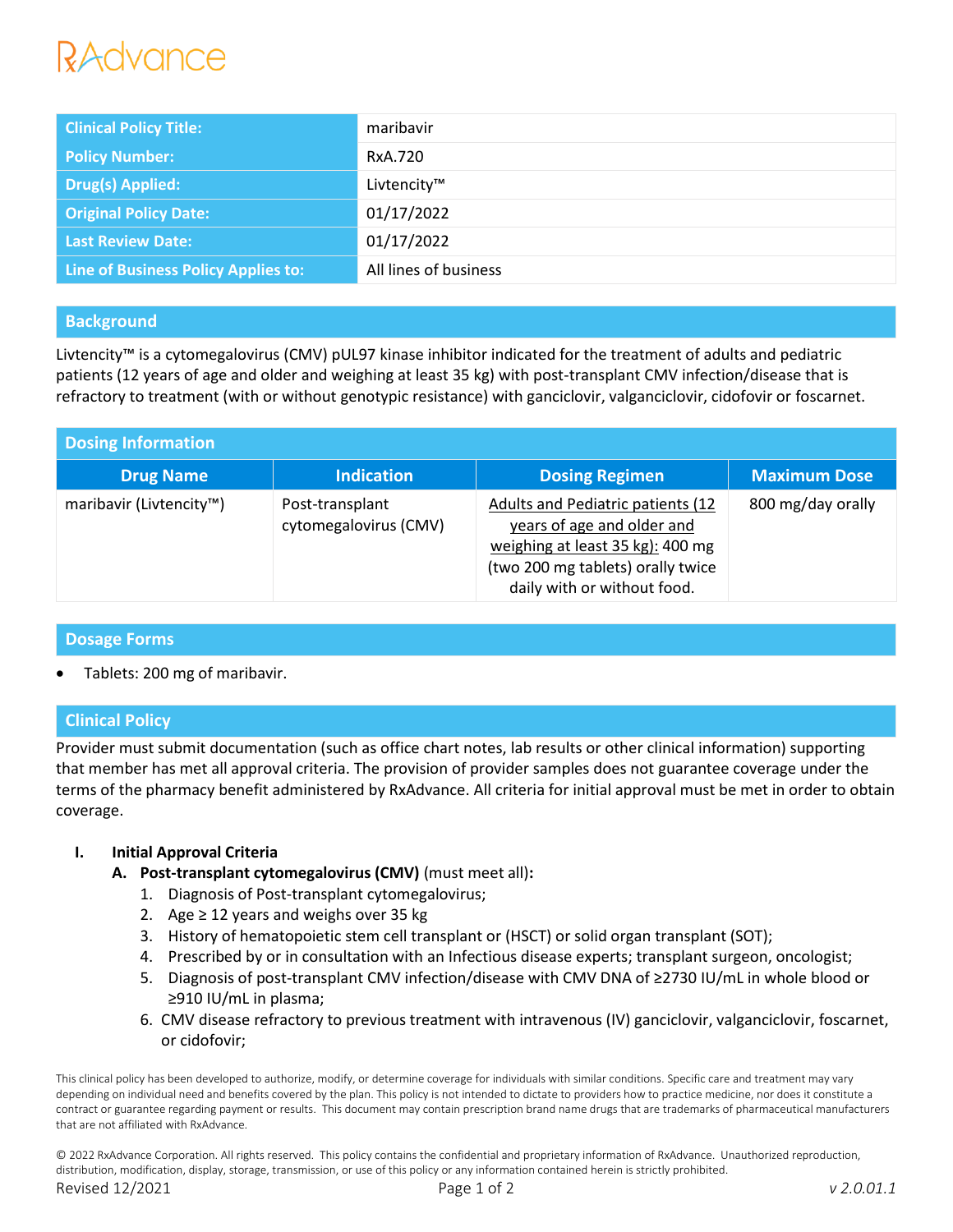# *RAdvance*

| <b>Clinical Policy Title:</b>       | maribavir             |
|-------------------------------------|-----------------------|
| <b>Policy Number:</b>               | RxA.720               |
| Drug(s) Applied:                    | Livtencity™           |
| <b>Original Policy Date:</b>        | 01/17/2022            |
| <b>Last Review Date:</b>            | 01/17/2022            |
| Line of Business Policy Applies to: | All lines of business |

# **Background**

Livtencity™ is a cytomegalovirus (CMV) pUL97 kinase inhibitor indicated for the treatment of adults and pediatric patients (12 years of age and older and weighing at least 35 kg) with post-transplant CMV infection/disease that is refractory to treatment (with or without genotypic resistance) with ganciclovir, valganciclovir, cidofovir or foscarnet.

| <b>Dosing Information</b> |                                          |                                                                                                                                                                          |                     |  |  |
|---------------------------|------------------------------------------|--------------------------------------------------------------------------------------------------------------------------------------------------------------------------|---------------------|--|--|
| <b>Drug Name</b>          | <b>Indication</b>                        | <b>Dosing Regimen</b>                                                                                                                                                    | <b>Maximum Dose</b> |  |  |
| maribavir (Livtencity™)   | Post-transplant<br>cytomegalovirus (CMV) | Adults and Pediatric patients (12)<br>years of age and older and<br>weighing at least 35 kg): 400 mg<br>(two 200 mg tablets) orally twice<br>daily with or without food. | 800 mg/day orally   |  |  |

## **Dosage Forms**

• Tablets: 200 mg of maribavir.

# **Clinical Policy**

Provider must submit documentation (such as office chart notes, lab results or other clinical information) supporting that member has met all approval criteria. The provision of provider samples does not guarantee coverage under the terms of the pharmacy benefit administered by RxAdvance. All criteria for initial approval must be met in order to obtain coverage.

# **I. Initial Approval Criteria**

- **A. Post-transplant cytomegalovirus (CMV)** (must meet all)**:**
	- 1. Diagnosis of Post-transplant cytomegalovirus;
	- 2. Age  $\geq$  12 years and weighs over 35 kg
	- 3. History of hematopoietic stem cell transplant or (HSCT) or solid organ transplant (SOT);
	- 4. Prescribed by or in consultation with an Infectious disease experts; transplant surgeon, oncologist;
	- 5. Diagnosis of post-transplant CMV infection/disease with CMV DNA of ≥2730 IU/mL in whole blood or ≥910 IU/mL in plasma;
	- 6. CMV disease refractory to previous treatment with intravenous (IV) ganciclovir, valganciclovir, foscarnet, or cidofovir;

This clinical policy has been developed to authorize, modify, or determine coverage for individuals with similar conditions. Specific care and treatment may vary depending on individual need and benefits covered by the plan. This policy is not intended to dictate to providers how to practice medicine, nor does it constitute a contract or guarantee regarding payment or results. This document may contain prescription brand name drugs that are trademarks of pharmaceutical manufacturers that are not affiliated with RxAdvance.

© 2022 RxAdvance Corporation. All rights reserved. This policy contains the confidential and proprietary information of RxAdvance. Unauthorized reproduction, distribution, modification, display, storage, transmission, or use of this policy or any information contained herein is strictly prohibited. Revised 12/2021 Page 1 of 2 *v 2.0.01.1*